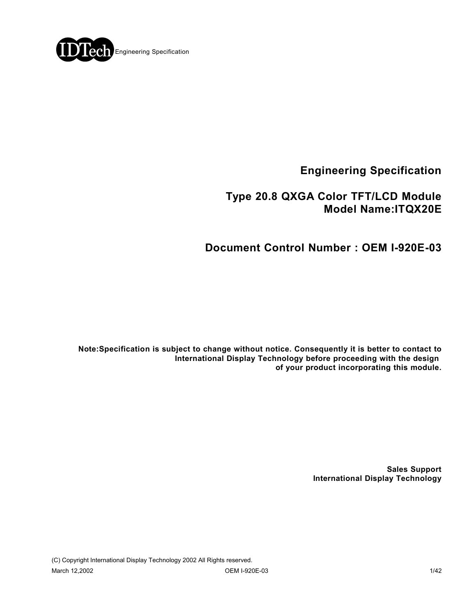

**Engineering Specification**

# **Type 20.8 QXGA Color TFT/LCD Module Model Name:ITQX20E**

# **Document Control Number : OEM I-920E-03**

**Note:Specification is subject to change without notice. Consequently it is better to contact to International Display Technology before proceeding with the design of your product incorporating this module.**

> **Sales Support International Display Technology**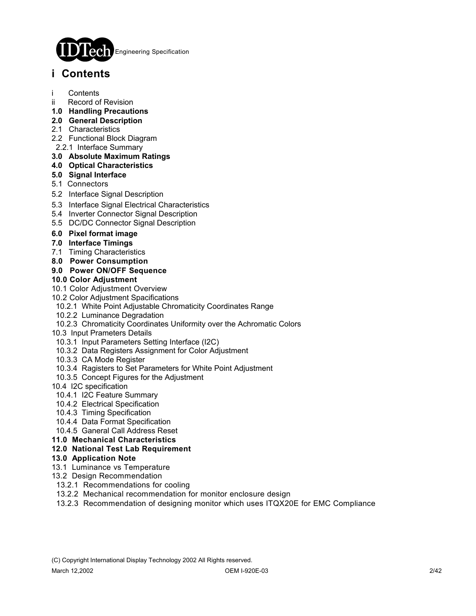

# **i Contents**

- **Contents**
- ii Record of Revision
- **1.0 Handling Precautions**
- **2.0 General Description**
- 2.1 Characteristics
- 2.2 Functional Block Diagram
- 2.2.1 Interface Summary
- **3.0 Absolute Maximum Ratings**
- **4.0 Optical Characteristics**
- **5.0 Signal Interface**
- 5.1 Connectors
- 5.2 Interface Signal Description
- 5.3 Interface Signal Electrical Characteristics
- 5.4 Inverter Connector Signal Description
- 5.5 DC/DC Connector Signal Description
- **6.0 Pixel format image**
- **7.0 Interface Timings**
- 7.1 Timing Characteristics
- **8.0 Power Consumption**

### **9.0 Power ON/OFF Sequence**

#### **10.0 Color Adjustment**

- 10.1 Color Adjustment Overview
- 10.2 Color Adjustment Spacifications
- 10.2.1 White Point Adjustable Chromaticity Coordinates Range
- 10.2.2 Luminance Degradation
- 10.2.3 Chromaticity Coordinates Uniformity over the Achromatic Colors
- 10.3 Input Prameters Details
- 10.3.1 Input Parameters Setting Interface (I2C)
- 10.3.2 Data Registers Assignment for Color Adjustment
- 10.3.3 CA Mode Register
- 10.3.4 Ragisters to Set Parameters for White Point Adjustment
- 10.3.5 Concept Figures for the Adjustment
- 10.4 I2C specification
- 10.4.1 I2C Feature Summary
- 10.4.2 Electrical Specification
- 10.4.3 Timing Specification
- 10.4.4 Data Format Specification
- 10.4.5 Ganeral Call Address Reset
- **11.0 Mechanical Characteristics**

#### **12.0 National Test Lab Requirement**

- **13.0 Application Note**
- 13.1 Luminance vs Temperature
- 13.2 Design Recommendation
- 13.2.1 Recommendations for cooling
- 13.2.2 Mechanical recommendation for monitor enclosure design
- 13.2.3 Recommendation of designing monitor which uses ITQX20E for EMC Compliance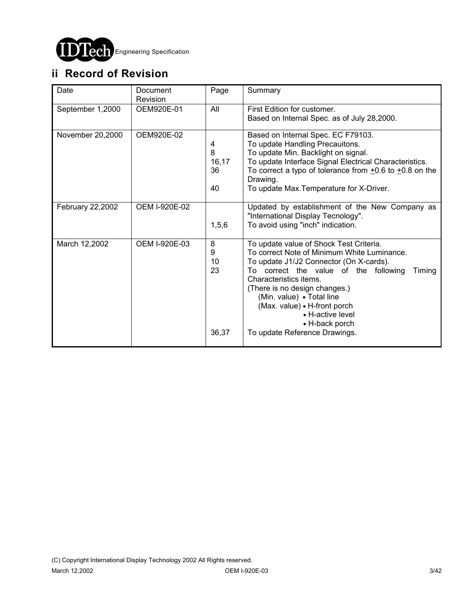

# **ii Record of Revision**

| Date             | Document<br>Revision | Page                         | Summary                                                                                                                                                                                                                                                                                                                                                                             |
|------------------|----------------------|------------------------------|-------------------------------------------------------------------------------------------------------------------------------------------------------------------------------------------------------------------------------------------------------------------------------------------------------------------------------------------------------------------------------------|
| September 1,2000 | OEM920E-01           | All                          | First Edition for customer.<br>Based on Internal Spec. as of July 28,2000.                                                                                                                                                                                                                                                                                                          |
| November 20,2000 | OEM920E-02           | 4<br>8<br>16, 17<br>36<br>40 | Based on Internal Spec. EC F79103.<br>To update Handling Precauitons.<br>To update Min. Backlight on signal.<br>To update Interface Signal Electrical Characteristics.<br>To correct a typo of tolerance from $\pm 0.6$ to $\pm 0.8$ on the<br>Drawing.<br>To update Max. Temperature for X-Driver.                                                                                 |
| February 22,2002 | OEM I-920E-02        | 1, 5, 6                      | Updated by establishment of the New Company as<br>"International Display Tecnology".<br>To avoid using "inch" indication.                                                                                                                                                                                                                                                           |
| March 12,2002    | OEM I-920E-03        | 8<br>9<br>10<br>23<br>36,37  | To update value of Shock Test Criteria.<br>To correct Note of Minimum White Luminance.<br>To update J1/J2 Connector (On X-cards).<br>To correct the value of the following<br>Timing<br>Characteristics items.<br>(There is no design changes.)<br>(Min. value) · Total line<br>(Max. value) • H-front porch<br>• H-active level<br>• H-back porch<br>To update Reference Drawings. |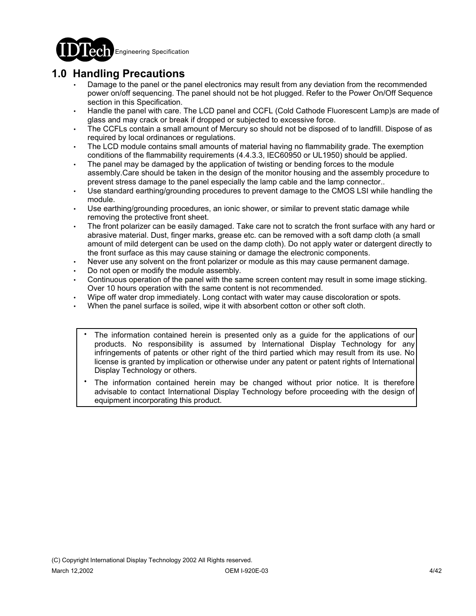

# **1.0 Handling Precautions**

- Damage to the panel or the panel electronics may result from any deviation from the recommended power on/off sequencing. The panel should not be hot plugged. Refer to the Power On/Off Sequence section in this Specification.
- Handle the panel with care. The LCD panel and CCFL (Cold Cathode Fluorescent Lamp)s are made of glass and may crack or break if dropped or subjected to excessive force.
- The CCFLs contain a small amount of Mercury so should not be disposed of to landfill. Dispose of as required by local ordinances or regulations.
- The LCD module contains small amounts of material having no flammability grade. The exemption conditions of the flammability requirements (4.4.3.3, IEC60950 or UL1950) should be applied.
- The panel may be damaged by the application of twisting or bending forces to the module assembly.Care should be taken in the design of the monitor housing and the assembly procedure to prevent stress damage to the panel especially the lamp cable and the lamp connector..
- Use standard earthing/grounding procedures to prevent damage to the CMOS LSI while handling the module.
- Use earthing/grounding procedures, an ionic shower, or similar to prevent static damage while removing the protective front sheet.
- The front polarizer can be easily damaged. Take care not to scratch the front surface with any hard or abrasive material. Dust, finger marks, grease etc. can be removed with a soft damp cloth (a small amount of mild detergent can be used on the damp cloth). Do not apply water or datergent directly to the front surface as this may cause staining or damage the electronic components.
- Never use any solvent on the front polarizer or module as this may cause permanent damage.
- Do not open or modify the module assembly.
- Continuous operation of the panel with the same screen content may result in some image sticking. Over 10 hours operation with the same content is not recommended.
- Wipe off water drop immediately. Long contact with water may cause discoloration or spots.
- When the panel surface is soiled, wipe it with absorbent cotton or other soft cloth.
	- The information contained herein is presented only as a guide for the applications of our products. No responsibility is assumed by International Display Technology for any infringements of patents or other right of the third partied which may result from its use. No license is granted by implication or otherwise under any patent or patent rights of International Display Technology or others. .
	- The information contained herein may be changed without prior notice. It is therefore advisable to contact International Display Technology before proceeding with the design of equipment incorporating this product. .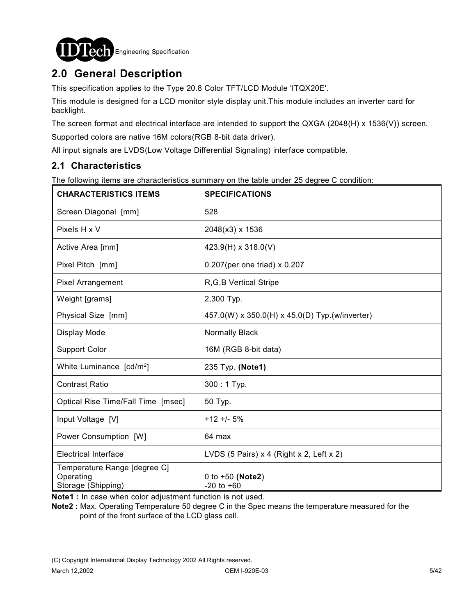

# **2.0 General Description**

This specification applies to the Type 20.8 Color TFT/LCD Module 'ITQX20E'.

This module is designed for a LCD monitor style display unit.This module includes an inverter card for backlight.

The screen format and electrical interface are intended to support the QXGA (2048(H) x 1536(V)) screen.

Supported colors are native 16M colors(RGB 8-bit data driver).

All input signals are LVDS(Low Voltage Differential Signaling) interface compatible.

## **2.1 Characteristics**

The following items are characteristics summary on the table under 25 degree C condition:

| <b>CHARACTERISTICS ITEMS</b>                                    | <b>SPECIFICATIONS</b>                          |
|-----------------------------------------------------------------|------------------------------------------------|
| Screen Diagonal [mm]                                            | 528                                            |
| Pixels H x V                                                    | 2048(x3) x 1536                                |
| Active Area [mm]                                                | 423.9(H) x 318.0(V)                            |
| Pixel Pitch [mm]                                                | 0.207(per one triad) x 0.207                   |
| <b>Pixel Arrangement</b>                                        | R, G, B Vertical Stripe                        |
| Weight [grams]                                                  | 2,300 Typ.                                     |
| Physical Size [mm]                                              | 457.0(W) x 350.0(H) x 45.0(D) Typ.(w/inverter) |
| Display Mode                                                    | Normally Black                                 |
| <b>Support Color</b>                                            | 16M (RGB 8-bit data)                           |
| White Luminance [cd/m <sup>2</sup> ]                            | 235 Typ. (Note1)                               |
| <b>Contrast Ratio</b>                                           | $300:1$ Typ.                                   |
| Optical Rise Time/Fall Time [msec]                              | 50 Typ.                                        |
| Input Voltage [V]                                               | $+12 + 5%$                                     |
| Power Consumption [W]                                           | 64 max                                         |
| <b>Electrical Interface</b>                                     | LVDS (5 Pairs) x 4 (Right x 2, Left x 2)       |
| Temperature Range [degree C]<br>Operating<br>Storage (Shipping) | 0 to $+50$ (Note2)<br>$-20$ to $+60$           |

**Note1 :** In case when color adjustment function is not used.

**Note2 :** Max. Operating Temperature 50 degree C in the Spec means the temperature measured for the point of the front surface of the LCD glass cell.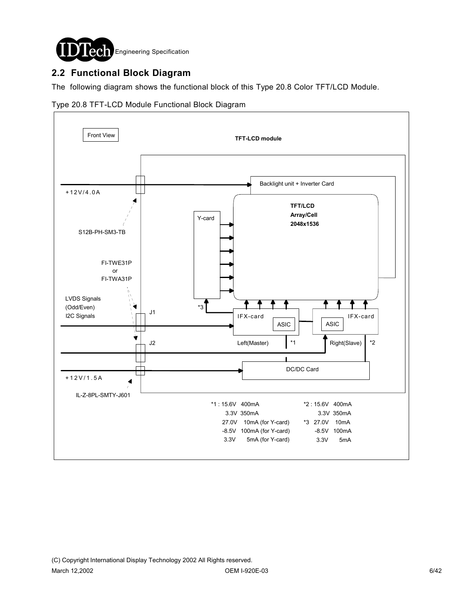

# **2.2 Functional Block Diagram**

The following diagram shows the functional block of this Type 20.8 Color TFT/LCD Module.



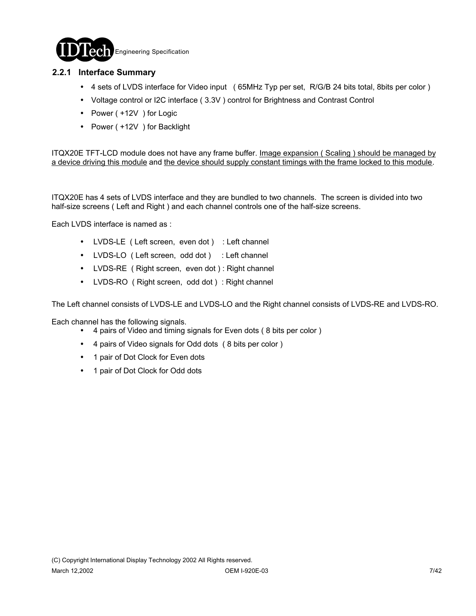

### **2.2.1 Interface Summary**

- ! 4 sets of LVDS interface for Video input ( 65MHz Typ per set, R/G/B 24 bits total, 8bits per color )
- ! Voltage control or I2C interface ( 3.3V ) control for Brightness and Contrast Control
- Power ( +12V ) for Logic
- Power ( +12V ) for Backlight

ITQX20E TFT-LCD module does not have any frame buffer. Image expansion (Scaling) should be managed by a device driving this module and the device should supply constant timings with the frame locked to this module.

ITQX20E has 4 sets of LVDS interface and they are bundled to two channels. The screen is divided into two half-size screens ( Left and Right ) and each channel controls one of the half-size screens.

Each LVDS interface is named as :

- LVDS-LE ( Left screen, even dot ) : Left channel
- LVDS-LO ( Left screen, odd dot ) : Left channel
- LVDS-RE ( Right screen, even dot ) : Right channel
- LVDS-RO ( Right screen, odd dot ) : Right channel

The Left channel consists of LVDS-LE and LVDS-LO and the Right channel consists of LVDS-RE and LVDS-RO.

Each channel has the following signals.

- ! 4 pairs of Video and timing signals for Even dots ( 8 bits per color )
- ! 4 pairs of Video signals for Odd dots ( 8 bits per color )
- 1 pair of Dot Clock for Even dots
- 1 pair of Dot Clock for Odd dots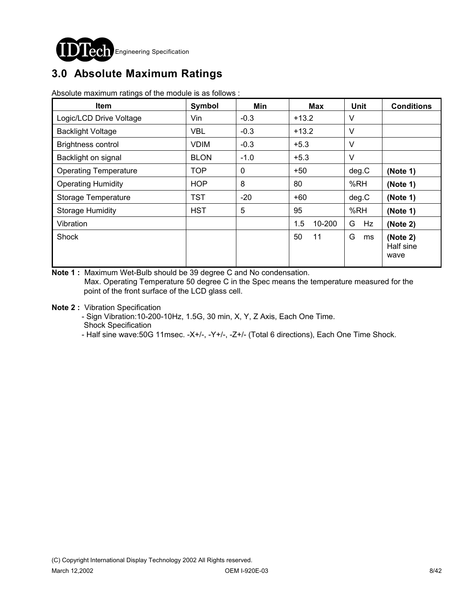

# **3.0 Absolute Maximum Ratings**

Absolute maximum ratings of the module is as follows :

| <b>Item</b>                  | Symbol      | Min         | <b>Max</b>    | Unit    | <b>Conditions</b>             |
|------------------------------|-------------|-------------|---------------|---------|-------------------------------|
| Logic/LCD Drive Voltage      | Vin         | $-0.3$      | $+13.2$       | V       |                               |
| <b>Backlight Voltage</b>     | <b>VBL</b>  | $-0.3$      | $+13.2$       | $\vee$  |                               |
| <b>Brightness control</b>    | <b>VDIM</b> | $-0.3$      | $+5.3$        | $\vee$  |                               |
| Backlight on signal          | <b>BLON</b> | $-1.0$      | $+5.3$        | $\vee$  |                               |
| <b>Operating Temperature</b> | <b>TOP</b>  | $\mathbf 0$ | $+50$         | deg.C   | (Note 1)                      |
| <b>Operating Humidity</b>    | <b>HOP</b>  | 8           | 80            | %RH     | (Note 1)                      |
| Storage Temperature          | <b>TST</b>  | $-20$       | $+60$         | deg.C   | (Note 1)                      |
| <b>Storage Humidity</b>      | <b>HST</b>  | 5           | 95            | %RH     | (Note 1)                      |
| Vibration                    |             |             | 1.5<br>10-200 | G<br>Hz | (Note 2)                      |
| Shock                        |             |             | 50<br>11      | G<br>ms | (Note 2)<br>Half sine<br>wave |

**Note 1 :** Maximum Wet-Bulb should be 39 degree C and No condensation. Max. Operating Temperature 50 degree C in the Spec means the temperature measured for the point of the front surface of the LCD glass cell.

**Note 2 :** Vibration Specification

 - Sign Vibration:10-200-10Hz, 1.5G, 30 min, X, Y, Z Axis, Each One Time. Shock Specification

- Half sine wave:50G 11msec. -X+/-, -Y+/-, -Z+/- (Total 6 directions), Each One Time Shock.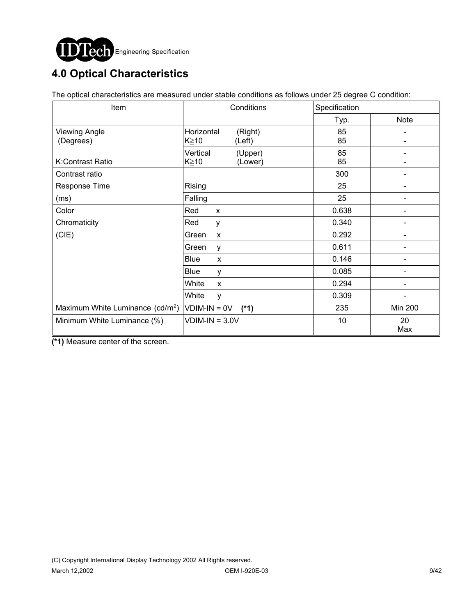

# **4.0 Optical Characteristics**

The optical characteristics are measured under stable conditions as follows under 25 degree C condition:

| Item                                         | Conditions               | Specification |                |
|----------------------------------------------|--------------------------|---------------|----------------|
|                                              |                          | Typ.          | <b>Note</b>    |
| <b>Viewing Angle</b>                         | Horizontal<br>(Right)    | 85            |                |
| (Degrees)                                    | K≥10<br>(Left)           | 85            |                |
|                                              | Vertical<br>(Upper)      | 85            |                |
| K:Contrast Ratio                             | (Lower)<br>K≧10          | 85            |                |
| Contrast ratio                               |                          | 300           |                |
| Response Time                                | Rising                   | 25            |                |
| (ms)                                         | Falling                  | 25            |                |
| Color                                        | Red<br>X                 | 0.638         |                |
| Chromaticity                                 | Red<br>у                 | 0.340         |                |
| (CIE)                                        | Green<br>X               | 0.292         |                |
|                                              | Green<br>у               | 0.611         |                |
|                                              | <b>Blue</b><br>X         | 0.146         |                |
|                                              | <b>Blue</b><br>У         | 0.085         |                |
|                                              | White<br>X               | 0.294         |                |
|                                              | White<br>y               | 0.309         |                |
| Maximum White Luminance (cd/m <sup>2</sup> ) | $VDIM-IN = OV$<br>$(*1)$ | 235           | <b>Min 200</b> |
| Minimum White Luminance (%)                  | $VDIM-IN = 3.0V$         | 10            | 20<br>Max      |

**(\*1)** Measure center of the screen.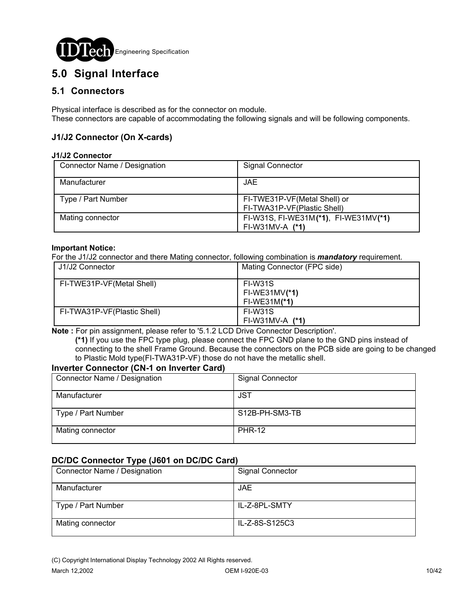

# **5.0 Signal Interface**

## **5.1 Connectors**

Physical interface is described as for the connector on module. These connectors are capable of accommodating the following signals and will be following components.

### **J1/J2 Connector (On X-cards)**

#### **J1/J2 Connector**

| Connector Name / Designation | Signal Connector                                            |
|------------------------------|-------------------------------------------------------------|
| Manufacturer                 | <b>JAE</b>                                                  |
| Type / Part Number           | FI-TWE31P-VF(Metal Shell) or<br>FI-TWA31P-VF(Plastic Shell) |
| Mating connector             | FI-W31S, FI-WE31M(*1), FI-WE31MV(*1)<br>$FI-W31MV-A (*1)$   |

#### **Important Notice:**

For the J1/J2 connector and there Mating connector, following combination is *mandatory* requirement.

| U1/J2 Connector             | Mating Connector (FPC side)                  |
|-----------------------------|----------------------------------------------|
| FI-TWE31P-VF(Metal Shell)   | FI-W31S<br>$FI-WE31MV(*1)$<br>$FI-WE31M(*1)$ |
| FI-TWA31P-VF(Plastic Shell) | FI-W31S<br>$FI-W31MV-A (*1)$                 |

**Note :** For pin assignment, please refer to '5.1.2 LCD Drive Connector Description'.

 **(\*1)** If you use the FPC type plug, please connect the FPC GND plane to the GND pins instead of connecting to the shell Frame Ground. Because the connectors on the PCB side are going to be changed to Plastic Mold type(FI-TWA31P-VF) those do not have the metallic shell.

### **Inverter Connector (CN-1 on Inverter Card)**

| Connector Name / Designation | <b>Signal Connector</b> |
|------------------------------|-------------------------|
| Manufacturer                 | <b>JST</b>              |
| Type / Part Number           | S12B-PH-SM3-TB          |
| Mating connector             | <b>PHR-12</b>           |

### **DC/DC Connector Type (J601 on DC/DC Card)**

| Connector Name / Designation | <b>Signal Connector</b> |
|------------------------------|-------------------------|
| Manufacturer                 | JAE.                    |
| Type / Part Number           | IL-Z-8PL-SMTY           |
| Mating connector             | IL-Z-8S-S125C3          |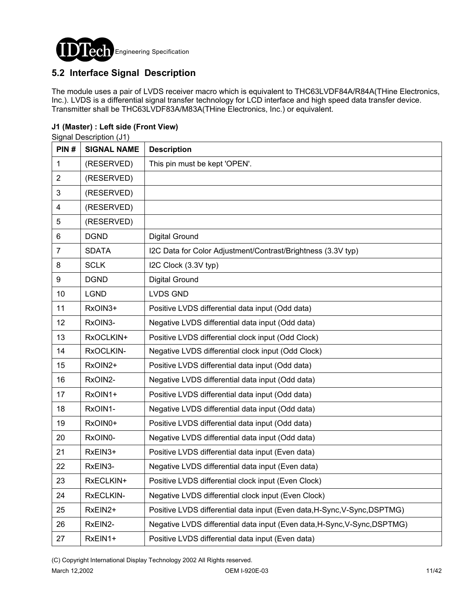

# **5.2 Interface Signal Description**

The module uses a pair of LVDS receiver macro which is equivalent to THC63LVDF84A/R84A(THine Electronics, Inc.). LVDS is a differential signal transfer technology for LCD interface and high speed data transfer device. Transmitter shall be THC63LVDF83A/M83A(THine Electronics, Inc.) or equivalent.

### **J1 (Master) : Left side (Front View)**

Signal Description (J1)

| PIN#                    | <b>SIGNAL NAME</b> | <b>Description</b>                                                        |
|-------------------------|--------------------|---------------------------------------------------------------------------|
| 1                       | (RESERVED)         | This pin must be kept 'OPEN'.                                             |
| $\overline{2}$          | (RESERVED)         |                                                                           |
| 3                       | (RESERVED)         |                                                                           |
| $\overline{\mathbf{4}}$ | (RESERVED)         |                                                                           |
| 5                       | (RESERVED)         |                                                                           |
| 6                       | <b>DGND</b>        | <b>Digital Ground</b>                                                     |
| $\overline{7}$          | <b>SDATA</b>       | I2C Data for Color Adjustment/Contrast/Brightness (3.3V typ)              |
| 8                       | <b>SCLK</b>        | I2C Clock (3.3V typ)                                                      |
| 9                       | <b>DGND</b>        | <b>Digital Ground</b>                                                     |
| 10                      | <b>LGND</b>        | <b>LVDS GND</b>                                                           |
| 11                      | RxOIN3+            | Positive LVDS differential data input (Odd data)                          |
| 12                      | RxOIN3-            | Negative LVDS differential data input (Odd data)                          |
| 13                      | RxOCLKIN+          | Positive LVDS differential clock input (Odd Clock)                        |
| 14                      | RxOCLKIN-          | Negative LVDS differential clock input (Odd Clock)                        |
| 15                      | RxOIN2+            | Positive LVDS differential data input (Odd data)                          |
| 16                      | RxOIN2-            | Negative LVDS differential data input (Odd data)                          |
| 17                      | RxOIN1+            | Positive LVDS differential data input (Odd data)                          |
| 18                      | RxOIN1-            | Negative LVDS differential data input (Odd data)                          |
| 19                      | RxOIN0+            | Positive LVDS differential data input (Odd data)                          |
| 20                      | RxOIN0-            | Negative LVDS differential data input (Odd data)                          |
| 21                      | RxEIN3+            | Positive LVDS differential data input (Even data)                         |
| 22                      | RxEIN3-            | Negative LVDS differential data input (Even data)                         |
| 23                      | RxECLKIN+          | Positive LVDS differential clock input (Even Clock)                       |
| 24                      | RxECLKIN-          | Negative LVDS differential clock input (Even Clock)                       |
| 25                      | RxEIN2+            | Positive LVDS differential data input (Even data, H-Sync, V-Sync, DSPTMG) |
| 26                      | RxEIN2-            | Negative LVDS differential data input (Even data, H-Sync, V-Sync, DSPTMG) |
| 27                      | RxEIN1+            | Positive LVDS differential data input (Even data)                         |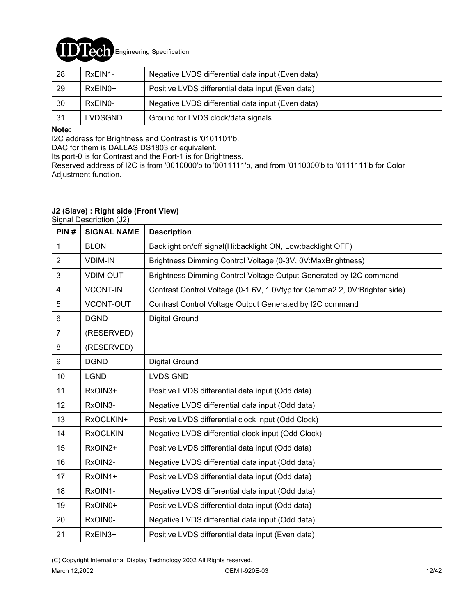

| 28  | RxEIN1-        | Negative LVDS differential data input (Even data) |
|-----|----------------|---------------------------------------------------|
| 29  | RxEIN0+        | Positive LVDS differential data input (Even data) |
| 30  | RxEIN0-        | Negative LVDS differential data input (Even data) |
| -31 | <b>LVDSGND</b> | Ground for LVDS clock/data signals                |

### **Note:**

I2C address for Brightness and Contrast is '0101101'b.

DAC for them is DALLAS DS1803 or equivalent.

Its port-0 is for Contrast and the Port-1 is for Brightness.

Reserved address of I2C is from '0010000'b to '0011111'b, and from '0110000'b to '0111111'b for Color Adjustment function.

### **J2 (Slave) : Right side (Front View)**

Signal Description (J2)

| PIN#           | <b>SIGNAL NAME</b> | <b>Description</b>                                                        |
|----------------|--------------------|---------------------------------------------------------------------------|
| 1              | <b>BLON</b>        | Backlight on/off signal(Hi:backlight ON, Low:backlight OFF)               |
| $\overline{2}$ | <b>VDIM-IN</b>     | Brightness Dimming Control Voltage (0-3V, 0V:MaxBrightness)               |
| 3              | <b>VDIM-OUT</b>    | Brightness Dimming Control Voltage Output Generated by I2C command        |
| 4              | <b>VCONT-IN</b>    | Contrast Control Voltage (0-1.6V, 1.0Vtyp for Gamma2.2, 0V:Brighter side) |
| 5              | <b>VCONT-OUT</b>   | Contrast Control Voltage Output Generated by I2C command                  |
| 6              | <b>DGND</b>        | Digital Ground                                                            |
| $\overline{7}$ | (RESERVED)         |                                                                           |
| 8              | (RESERVED)         |                                                                           |
| 9              | <b>DGND</b>        | Digital Ground                                                            |
| 10             | <b>LGND</b>        | <b>LVDS GND</b>                                                           |
| 11             | RxOIN3+            | Positive LVDS differential data input (Odd data)                          |
| 12             | RxOIN3-            | Negative LVDS differential data input (Odd data)                          |
| 13             | RxOCLKIN+          | Positive LVDS differential clock input (Odd Clock)                        |
| 14             | RxOCLKIN-          | Negative LVDS differential clock input (Odd Clock)                        |
| 15             | RxOIN2+            | Positive LVDS differential data input (Odd data)                          |
| 16             | RxOIN2-            | Negative LVDS differential data input (Odd data)                          |
| 17             | RxOIN1+            | Positive LVDS differential data input (Odd data)                          |
| 18             | RxOIN1-            | Negative LVDS differential data input (Odd data)                          |
| 19             | RxOIN0+            | Positive LVDS differential data input (Odd data)                          |
| 20             | RxOIN0-            | Negative LVDS differential data input (Odd data)                          |
| 21             | RxEIN3+            | Positive LVDS differential data input (Even data)                         |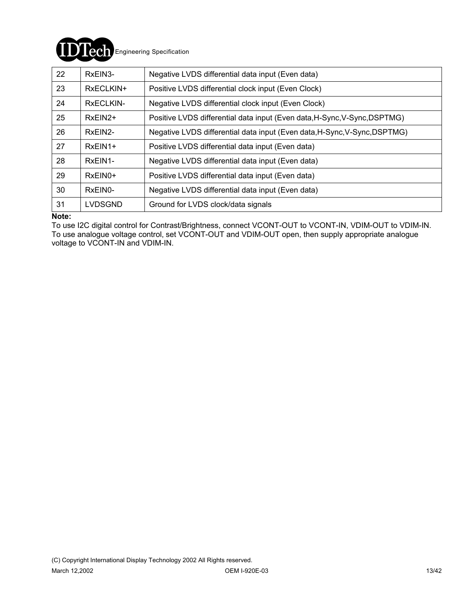

| 22 | RxEIN3-        | Negative LVDS differential data input (Even data)                         |
|----|----------------|---------------------------------------------------------------------------|
| 23 | RxECLKIN+      | Positive LVDS differential clock input (Even Clock)                       |
| 24 | RxECLKIN-      | Negative LVDS differential clock input (Even Clock)                       |
| 25 | $RxEIN2+$      | Positive LVDS differential data input (Even data, H-Sync, V-Sync, DSPTMG) |
| 26 | RxEIN2-        | Negative LVDS differential data input (Even data, H-Sync, V-Sync, DSPTMG) |
| 27 | $RxEIN1+$      | Positive LVDS differential data input (Even data)                         |
| 28 | RxEIN1-        | Negative LVDS differential data input (Even data)                         |
| 29 | $RxEIN0+$      | Positive LVDS differential data input (Even data)                         |
| 30 | RxEIN0-        | Negative LVDS differential data input (Even data)                         |
| 31 | <b>LVDSGND</b> | Ground for LVDS clock/data signals                                        |

#### **Note:**

To use I2C digital control for Contrast/Brightness, connect VCONT-OUT to VCONT-IN, VDIM-OUT to VDIM-IN. To use analogue voltage control, set VCONT-OUT and VDIM-OUT open, then supply appropriate analogue voltage to VCONT-IN and VDIM-IN.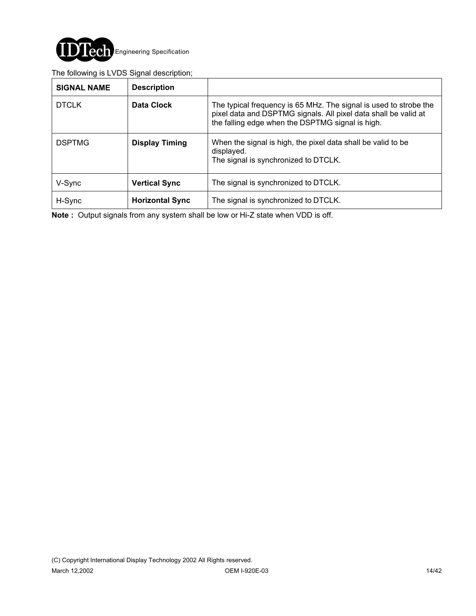

### The following is LVDS Signal description;

| <b>SIGNAL NAME</b> | <b>Description</b>     |                                                                                                                                                                                          |
|--------------------|------------------------|------------------------------------------------------------------------------------------------------------------------------------------------------------------------------------------|
| <b>DTCLK</b>       | Data Clock             | The typical frequency is 65 MHz. The signal is used to strobe the<br>pixel data and DSPTMG signals. All pixel data shall be valid at<br>the falling edge when the DSPTMG signal is high. |
| <b>DSPTMG</b>      | <b>Display Timing</b>  | When the signal is high, the pixel data shall be valid to be<br>displayed.<br>The signal is synchronized to DTCLK.                                                                       |
| V-Sync             | <b>Vertical Sync</b>   | The signal is synchronized to DTCLK.                                                                                                                                                     |
| H-Sync             | <b>Horizontal Sync</b> | The signal is synchronized to DTCLK.                                                                                                                                                     |

**Note :** Output signals from any system shall be low or Hi-Z state when VDD is off.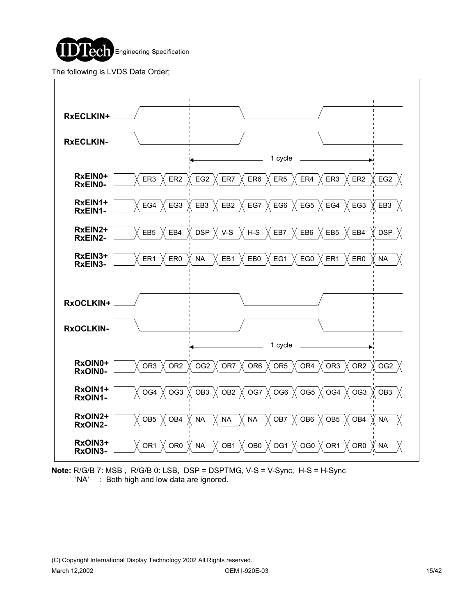

The following is LVDS Data Order;



**Note:** R/G/B 7: MSB , R/G/B 0: LSB, DSP = DSPTMG, V-S = V-Sync, H-S = H-Sync 'NA' : Both high and low data are ignored.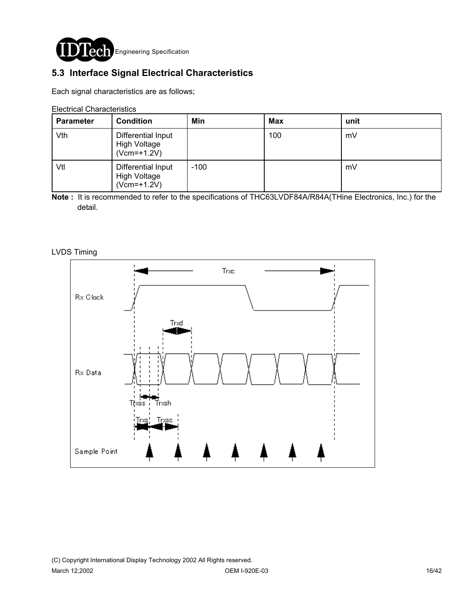

# **5.3 Interface Signal Electrical Characteristics**

Each signal characteristics are as follows;

Electrical Characteristics

| <b>Parameter</b> | <b>Condition</b>                                    | Min    | Max | unit |
|------------------|-----------------------------------------------------|--------|-----|------|
| Vth              | Differential Input<br>High Voltage<br>$(Vcm=+1.2V)$ |        | 100 | mV   |
| Vtl              | Differential Input<br>High Voltage<br>$(Vcm=+1.2V)$ | $-100$ |     | mV   |

**Note :** It is recommended to refer to the specifications of THC63LVDF84A/R84A(THine Electronics, Inc.) for the detail.

LVDS Timing

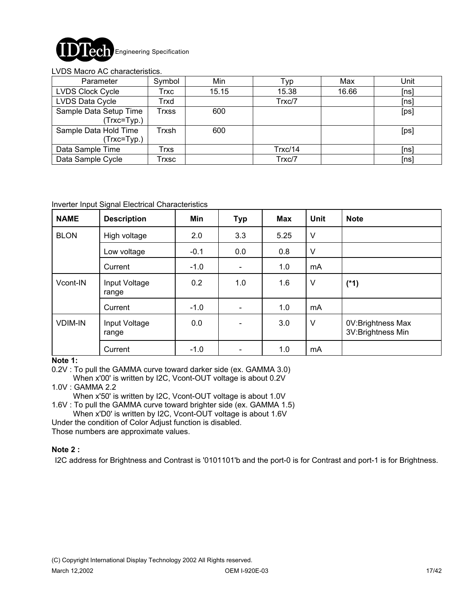

#### LVDS Macro AC characteristics.

| Parameter                             | Symbol       | Min   | Typ     | Max   | Unit |
|---------------------------------------|--------------|-------|---------|-------|------|
| <b>LVDS Clock Cycle</b>               | Trxc         | 15.15 | 15.38   | 16.66 | [ns] |
| LVDS Data Cycle                       | Trxd         |       | Trxc/7  |       | [ns] |
| Sample Data Setup Time<br>(Trxc=Typ.) | <b>Trxss</b> | 600   |         |       | [ps] |
| Sample Data Hold Time<br>(Trxc=Typ.)  | Trxsh        | 600   |         |       | [ps] |
| Data Sample Time                      | Trxs         |       | Trxc/14 |       | [ns] |
| Data Sample Cycle                     | Trxsc        |       | Trxc/7  |       | [ns] |

#### Inverter Input Signal Electrical Characteristics

| <b>NAME</b>    | <b>Description</b>     | Min    | <b>Typ</b>               | <b>Max</b> | Unit   | <b>Note</b>                            |
|----------------|------------------------|--------|--------------------------|------------|--------|----------------------------------------|
| <b>BLON</b>    | High voltage           | 2.0    | 3.3                      | 5.25       | V      |                                        |
|                | Low voltage            | $-0.1$ | 0.0                      | 0.8        | V      |                                        |
|                | Current                | $-1.0$ | $\overline{\phantom{a}}$ | 1.0        | mA     |                                        |
| Vcont-IN       | Input Voltage<br>range | 0.2    | 1.0                      | 1.6        | V      | $(*1)$                                 |
|                | Current                | $-1.0$ | $\overline{\phantom{0}}$ | 1.0        | mA     |                                        |
| <b>VDIM-IN</b> | Input Voltage<br>range | 0.0    |                          | 3.0        | $\vee$ | 0V:Brightness Max<br>3V:Brightness Min |
|                | Current                | $-1.0$ |                          | 1.0        | mA     |                                        |

#### **Note 1:**

0.2V : To pull the GAMMA curve toward darker side (ex. GAMMA 3.0)

When x'00' is written by I2C, Vcont-OUT voltage is about 0.2V

### 1.0V : GAMMA 2.2

When x'50' is written by I2C, Vcont-OUT voltage is about 1.0V

1.6V : To pull the GAMMA curve toward brighter side (ex. GAMMA 1.5)

When x'D0' is written by I2C, Vcont-OUT voltage is about 1.6V

Under the condition of Color Adjust function is disabled.

Those numbers are approximate values.

### **Note 2 :**

I2C address for Brightness and Contrast is '0101101'b and the port-0 is for Contrast and port-1 is for Brightness.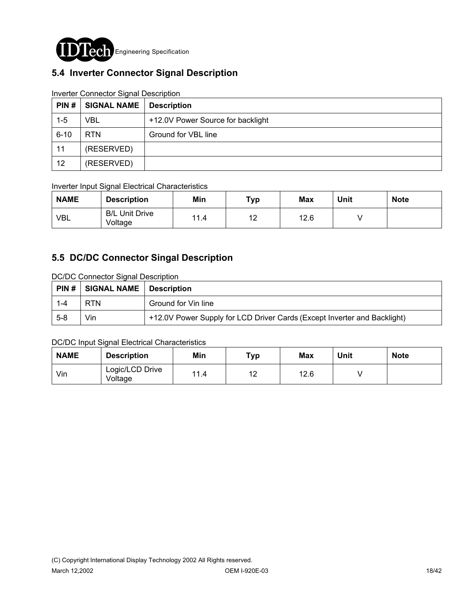

# **5.4 Inverter Connector Signal Description**

| PIN#     | <b>SIGNAL NAME</b> | <b>Description</b>                |
|----------|--------------------|-----------------------------------|
| $1 - 5$  | VBL                | +12.0V Power Source for backlight |
| $6 - 10$ | RTN.               | Ground for VBL line               |
| 11       | (RESERVED)         |                                   |
| 12       | (RESERVED)         |                                   |

### Inverter Connector Signal Description

### Inverter Input Signal Electrical Characteristics

| <b>NAME</b> | <b>Description</b>               | <b>Min</b> | Typ | <b>Max</b> | Unit | <b>Note</b> |
|-------------|----------------------------------|------------|-----|------------|------|-------------|
| <b>VBL</b>  | <b>B/L Unit Drive</b><br>Voltage | 11.4       | 12  | 12.6       |      |             |

## **5.5 DC/DC Connector Singal Description**

DC/DC Connector Signal Description

|         | $PHN#$ SIGNAL NAME   Description |                                                                          |
|---------|----------------------------------|--------------------------------------------------------------------------|
| $1 - 4$ | <b>RTN</b>                       | Ground for Vin line                                                      |
| $5 - 8$ | Vin                              | +12.0V Power Supply for LCD Driver Cards (Except Inverter and Backlight) |

### DC/DC Input Signal Electrical Characteristics

| <b>NAME</b> | <b>Description</b>         | Min  | тур      | Max  | Unit | <b>Note</b> |
|-------------|----------------------------|------|----------|------|------|-------------|
| Vin         | Logic/LCD Drive<br>Voltage | 11.4 | 10<br>⊢∠ | 12.6 |      |             |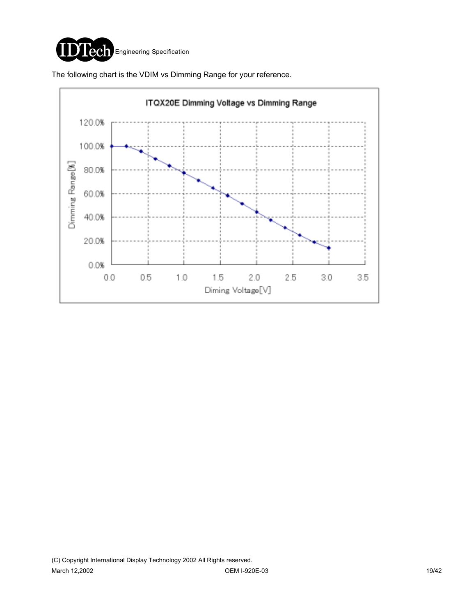

The following chart is the VDIM vs Dimming Range for your reference.

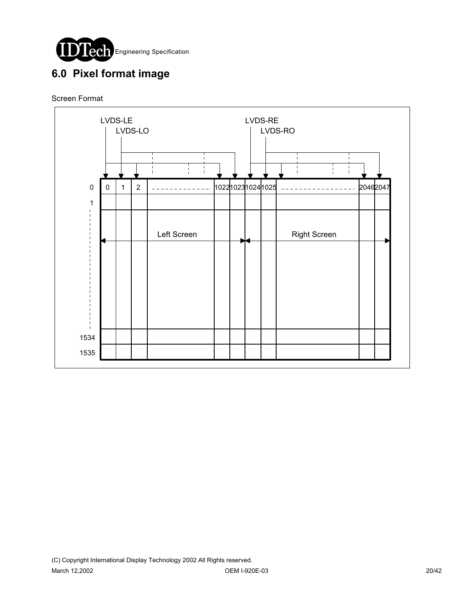

# **6.0 Pixel format image**

### Screen Format

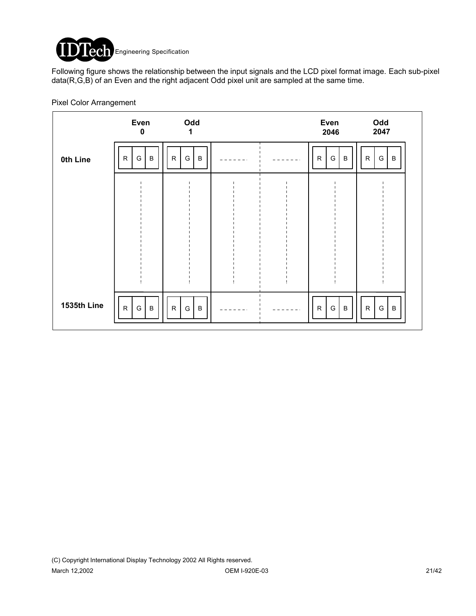

Following figure shows the relationship between the input signals and the LCD pixel format image. Each sub-pixel data(R,G,B) of an Even and the right adjacent Odd pixel unit are sampled at the same time.

|             | Even<br>$\mathbf 0$                           | Odd<br>1                     |  | Even<br>2046                      | Odd<br>2047                       |
|-------------|-----------------------------------------------|------------------------------|--|-----------------------------------|-----------------------------------|
| 0th Line    | $\mathsf{R}$<br>$\, {\bf B}$<br>G             | $\mathsf{R}$<br>$\sf B$<br>G |  | $\mathsf{R}$<br>$\, {\bf B}$<br>G | $\, {\bf B}$<br>$\mathsf{R}$<br>G |
|             |                                               |                              |  |                                   |                                   |
|             |                                               |                              |  |                                   |                                   |
|             |                                               |                              |  |                                   |                                   |
|             |                                               |                              |  |                                   |                                   |
| 1535th Line | $\mathsf{R}$<br>$\, {\sf B}$<br>${\mathsf G}$ | $\mathsf{R}$<br>G<br>$\sf B$ |  | ${\sf R}$<br>$\, {\bf B}$<br>G    | $\mathsf{R}$<br>$\sf B$<br>G      |

Pixel Color Arrangement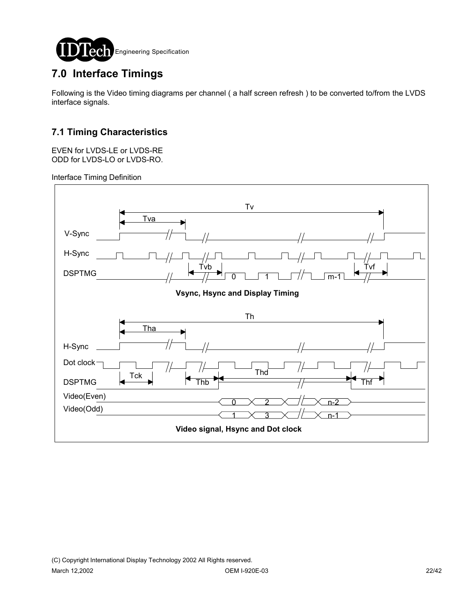

# **7.0 Interface Timings**

Following is the Video timing diagrams per channel ( a half screen refresh ) to be converted to/from the LVDS interface signals.

# **7.1 Timing Characteristics**

EVEN for LVDS-LE or LVDS-RE ODD for LVDS-LO or LVDS-RO.

Interface Timing Definition

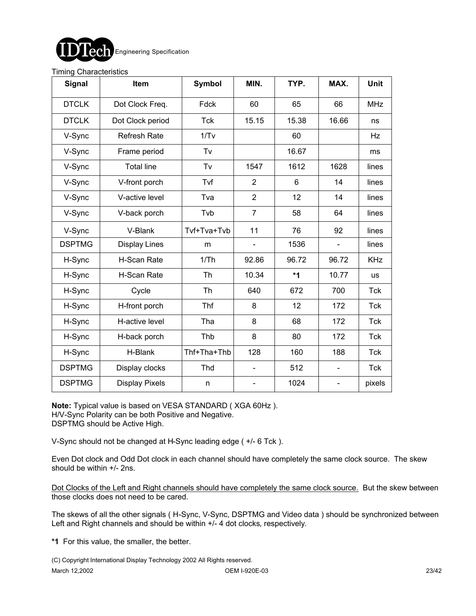

#### Timing Characteristics

| <b>Signal</b> | Item                  | <b>Symbol</b> | MIN.                         | TYP.  | MAX.                     | <b>Unit</b> |
|---------------|-----------------------|---------------|------------------------------|-------|--------------------------|-------------|
| <b>DTCLK</b>  | Dot Clock Freq.       | Fdck          | 60                           | 65    | 66                       | <b>MHz</b>  |
| <b>DTCLK</b>  | Dot Clock period      | <b>Tck</b>    | 15.15                        | 15.38 | 16.66                    | ns          |
| V-Sync        | <b>Refresh Rate</b>   | 1/Tv          |                              | 60    |                          | Hz          |
| V-Sync        | Frame period          | Tv            |                              | 16.67 |                          | ms          |
| V-Sync        | <b>Total line</b>     | Tv            | 1547                         | 1612  | 1628                     | lines       |
| V-Sync        | V-front porch         | Tvf           | $\overline{2}$               | 6     | 14                       | lines       |
| V-Sync        | V-active level        | Tva           | $\overline{2}$               | 12    | 14                       | lines       |
| V-Sync        | V-back porch          | Tvb           | $\overline{7}$               | 58    | 64                       | lines       |
| V-Sync        | V-Blank               | Tvf+Tva+Tvb   | 11                           | 76    | 92                       | lines       |
| <b>DSPTMG</b> | <b>Display Lines</b>  | m             |                              | 1536  | $\blacksquare$           | lines       |
| H-Sync        | H-Scan Rate           | 1/Th          | 92.86                        | 96.72 | 96.72                    | <b>KHz</b>  |
| H-Sync        | H-Scan Rate           | Th            | 10.34                        | *1    | 10.77                    | <b>us</b>   |
| H-Sync        | Cycle                 | Th            | 640                          | 672   | 700                      | Tck         |
| H-Sync        | H-front porch         | Thf           | 8                            | 12    | 172                      | Tck         |
| H-Sync        | H-active level        | Tha           | 8                            | 68    | 172                      | Tck         |
| H-Sync        | H-back porch          | Thb           | 8                            | 80    | 172                      | <b>Tck</b>  |
| H-Sync        | H-Blank               | Thf+Tha+Thb   | 128                          | 160   | 188                      | <b>Tck</b>  |
| <b>DSPTMG</b> | Display clocks        | Thd           |                              | 512   |                          | <b>Tck</b>  |
| <b>DSPTMG</b> | <b>Display Pixels</b> | n             | $\qquad \qquad \blacksquare$ | 1024  | $\overline{\phantom{a}}$ | pixels      |

**Note:** Typical value is based on VESA STANDARD ( XGA 60Hz ). H/V-Sync Polarity can be both Positive and Negative. DSPTMG should be Active High.

V-Sync should not be changed at H-Sync leading edge ( +/- 6 Tck ).

Even Dot clock and Odd Dot clock in each channel should have completely the same clock source. The skew should be within +/- 2ns.

Dot Clocks of the Left and Right channels should have completely the same clock source. But the skew between those clocks does not need to be cared.

The skews of all the other signals ( H-Sync, V-Sync, DSPTMG and Video data ) should be synchronized between Left and Right channels and should be within  $+/-$  4 dot clocks, respectively.

**\*1** For this value, the smaller, the better.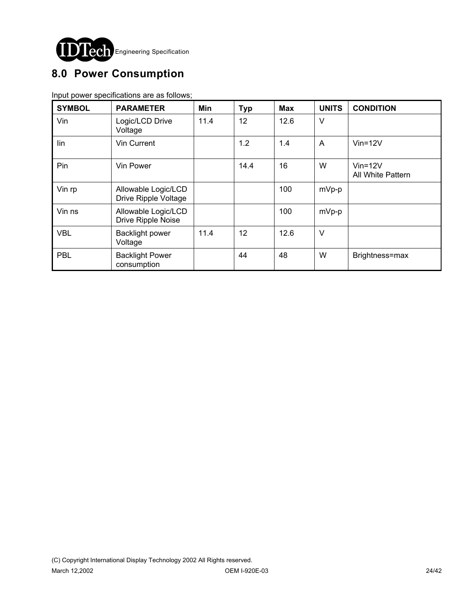

# **8.0 Power Consumption**

Input power specifications are as follows;

| <b>SYMBOL</b> | <b>PARAMETER</b>                            | Min  | <b>Typ</b> | <b>Max</b> | <b>UNITS</b> | <b>CONDITION</b>                   |
|---------------|---------------------------------------------|------|------------|------------|--------------|------------------------------------|
| Vin           | Logic/LCD Drive<br>Voltage                  | 11.4 | 12         | 12.6       | $\vee$       |                                    |
| lin           | Vin Current                                 |      | 1.2        | 1.4        | A            | $V$ in=12 $V$                      |
| Pin           | Vin Power                                   |      | 14.4       | 16         | W            | $V$ in=12 $V$<br>All White Pattern |
| Vin rp        | Allowable Logic/LCD<br>Drive Ripple Voltage |      |            | 100        | mVp-p        |                                    |
| Vin ns        | Allowable Logic/LCD<br>Drive Ripple Noise   |      |            | 100        | mVp-p        |                                    |
| <b>VBL</b>    | <b>Backlight power</b><br>Voltage           | 11.4 | 12         | 12.6       | $\vee$       |                                    |
| <b>PBL</b>    | <b>Backlight Power</b><br>consumption       |      | 44         | 48         | W            | Brightness=max                     |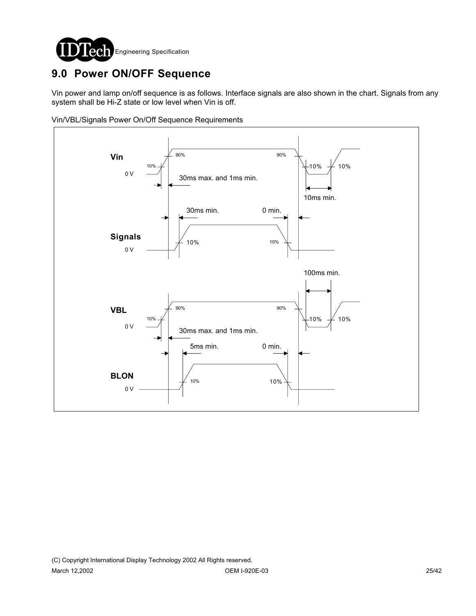

# **9.0 Power ON/OFF Sequence**

Vin power and lamp on/off sequence is as follows. Interface signals are also shown in the chart. Signals from any system shall be Hi-Z state or low level when Vin is off.

Vin/VBL/Signals Power On/Off Sequence Requirements

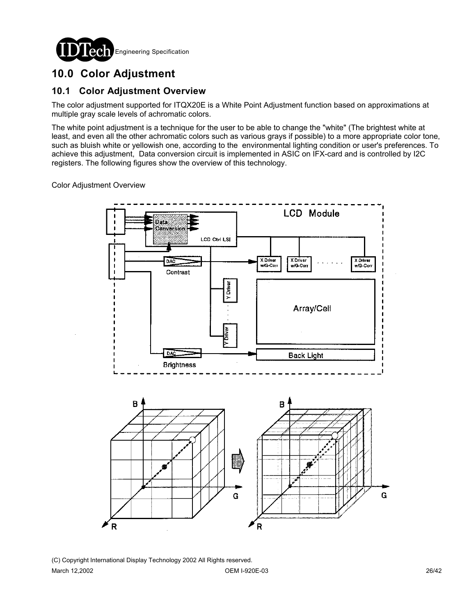

# **10.0 Color Adjustment**

## **10.1 Color Adjustment Overview**

The color adjustment supported for ITQX20E is a White Point Adjustment function based on approximations at multiple gray scale levels of achromatic colors.

The white point adjustment is a technique for the user to be able to change the "white" (The brightest white at least, and even all the other achromatic colors such as various grays if possible) to a more appropriate color tone, such as bluish white or yellowish one, according to the environmental lighting condition or user's preferences. To achieve this adjustment, Data conversion circuit is implemented in ASIC on IFX-card and is controlled by I2C registers. The following figures show the overview of this technology.

Color Adjustment Overview



(C) Copyright International Display Technology 2002 All Rights reserved. March 12,2002 OEM I-920E-03 26/42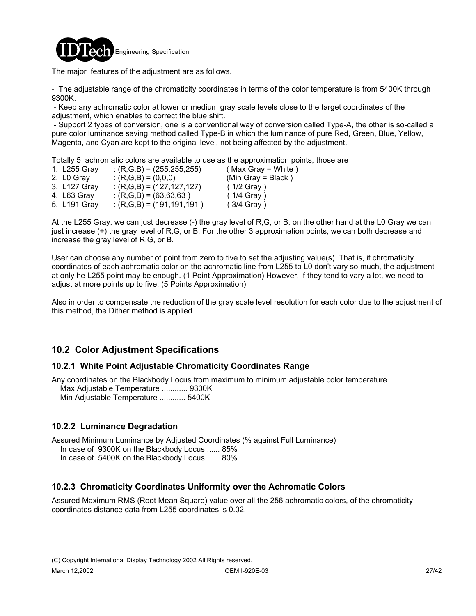

The major features of the adjustment are as follows.

- The adjustable range of the chromaticity coordinates in terms of the color temperature is from 5400K through 9300K.

 - Keep any achromatic color at lower or medium gray scale levels close to the target coordinates of the adjustment, which enables to correct the blue shift.

 - Support 2 types of conversion, one is a conventional way of conversion called Type-A, the other is so-called a pure color luminance saving method called Type-B in which the luminance of pure Red, Green, Blue, Yellow, Magenta, and Cyan are kept to the original level, not being affected by the adjustment.

Totally 5 achromatic colors are available to use as the approximation points, those are

| 1. L255 Gray | $(3.6, 1.6) = (255, 255, 255)$ | $(Max Gray = White)$ |
|--------------|--------------------------------|----------------------|
| 2. LO Gray   | : $(R,G,B) = (0,0,0)$          | (Min Gray = Black)   |
| 3. L127 Gray | $(3.6, 6.6) = (127, 127, 127)$ | $(1/2$ Gray)         |
| 4. L63 Gray  | $($ R,G,B $)$ = (63,63,63)     | $(1/4$ Gray)         |
| 5. L191 Gray | $:(R,G,B)=(191,191,191)$       | $(3/4$ Gray)         |

At the L255 Gray, we can just decrease (-) the gray level of R,G, or B, on the other hand at the L0 Gray we can just increase (+) the gray level of R,G, or B. For the other 3 approximation points, we can both decrease and increase the gray level of R,G, or B.

User can choose any number of point from zero to five to set the adjusting value(s). That is, if chromaticity coordinates of each achromatic color on the achromatic line from L255 to L0 don't vary so much, the adjustment at only he L255 point may be enough. (1 Point Approximation) However, if they tend to vary a lot, we need to adjust at more points up to five. (5 Points Approximation)

Also in order to compensate the reduction of the gray scale level resolution for each color due to the adjustment of this method, the Dither method is applied.

# **10.2 Color Adjustment Specifications**

### **10.2.1 White Point Adjustable Chromaticity Coordinates Range**

Any coordinates on the Blackbody Locus from maximum to minimum adjustable color temperature. Max Adjustable Temperature ............ 9300K Min Adjustable Temperature ............ 5400K

### **10.2.2 Luminance Degradation**

Assured Minimum Luminance by Adjusted Coordinates (% against Full Luminance)

In case of 9300K on the Blackbody Locus ...... 85%

In case of 5400K on the Blackbody Locus ...... 80%

### **10.2.3 Chromaticity Coordinates Uniformity over the Achromatic Colors**

Assured Maximum RMS (Root Mean Square) value over all the 256 achromatic colors, of the chromaticity coordinates distance data from L255 coordinates is 0.02.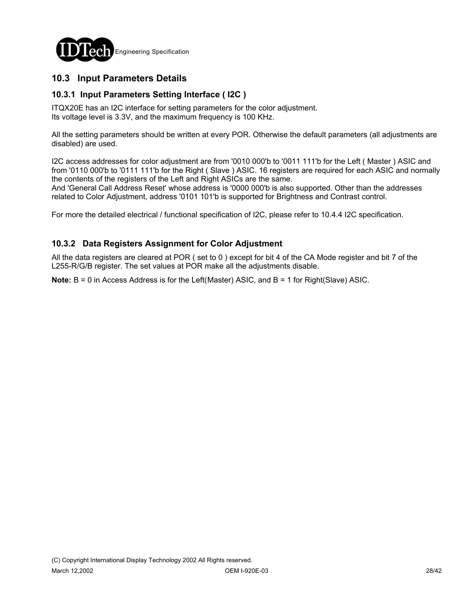

## **10.3 Input Parameters Details**

### **10.3.1 Input Parameters Setting Interface ( I2C )**

ITQX20E has an I2C interface for setting parameters for the color adjustment. Its voltage level is 3.3V, and the maximum frequency is 100 KHz.

All the setting parameters should be written at every POR. Otherwise the default parameters (all adjustments are disabled) are used.

I2C access addresses for color adjustment are from '0010 000'b to '0011 111'b for the Left ( Master ) ASIC and from '0110 000'b to '0111 111'b for the Right ( Slave ) ASIC. 16 registers are required for each ASIC and normally the contents of the registers of the Left and Right ASICs are the same.

And 'General Call Address Reset' whose address is '0000 000'b is also supported. Other than the addresses related to Color Adjustment, address '0101 101'b is supported for Brightness and Contrast control.

For more the detailed electrical / functional specification of I2C, please refer to 10.4.4 I2C specification.

### **10.3.2 Data Registers Assignment for Color Adjustment**

All the data registers are cleared at POR ( set to 0 ) except for bit 4 of the CA Mode register and bit 7 of the L255-R/G/B register. The set values at POR make all the adjustments disable.

**Note:** B = 0 in Access Address is for the Left(Master) ASIC, and B = 1 for Right(Slave) ASIC.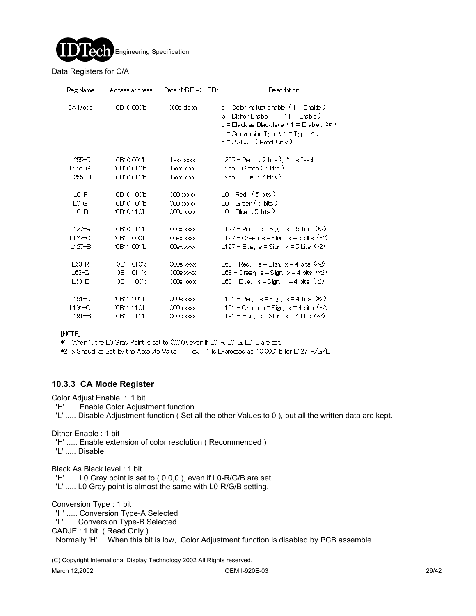

#### Data Registers for C/A

| Reg Name   | Access address | <u>Data (MSB⇒) LSB)</u> | Description                                                                                                                                                                                                |
|------------|----------------|-------------------------|------------------------------------------------------------------------------------------------------------------------------------------------------------------------------------------------------------|
| CA Mode    | 10B100001b     | 000e doba               | $a =$ Cobr Adjust enable $(1 =$ Enable $)$<br>$(1 = \text{Frahle})$<br>$b =$ Dither Erable<br>c = Black as Black level (1 = Enable ) (*1)<br>$d =$ Conversion Type (1 = Type=A )<br>e = CADJE( Read Only ) |
| L255-R     | 10 B1 0 001 1b | 1x00xx000x              | $L255$ – Red $(7 \text{ bits})$ , 1' is fixed.                                                                                                                                                             |
| $L255-G$   | ′0B10010′b     | 1x00xx000x              | L255 – Green ( 7 bits )                                                                                                                                                                                    |
| $L255-B$   | 10B100111b     | $1x00x$ $x000x$         |                                                                                                                                                                                                            |
| LO-R       | 10B101001b     | $000x \times x$         | $LO - Red$ (5 bits)                                                                                                                                                                                        |
| LO-G       | 10 B10 1011b   | $000x \times x$         | IO – Green (5 bits.)                                                                                                                                                                                       |
| LO-B       | 10 B10 11 01 b | $000x \times x$         | $LO - Blue (5 bits)$                                                                                                                                                                                       |
| $L127-R$   | 10B101111b     | $00$ sx $x\infty$       | L127 – Red, $s =$ Sign, $x =$ 5 bits $(*2)$                                                                                                                                                                |
| $L127-G$   | '0B11 000'b    | $00$ BX $000$           | L127 – Green, s = Sign, $x = 5$ bits (*2)                                                                                                                                                                  |
| $L127-B$   | 10B110011b     | $00$ sx $x\infty$       | L127 - Blue, $s = Sign$ , $x = 5$ bits ( $*2$ )                                                                                                                                                            |
| $L63-R$    | ′0B11 010′b    | $000s$ $x$              | L63 – Red. $s =$ Sign, $x = 4$ bits $(*2)$                                                                                                                                                                 |
| $L63-G$    | '0B11 011'b    | $000s \times x$         | L63 – Green, s = Sign, $x = 4$ bits (*2)                                                                                                                                                                   |
| $L63-B$    | '0B11100'b     | $000$ s xxxx            | $L63 - Blue$ , $s = Sign$ , $x = 4$ bits $(*2)$                                                                                                                                                            |
| $L191 - R$ | 10 B11 1011b   | $000$ s $x\infty$       | L191 - Red, $s =$ Sign, $x = 4$ bits $(x2)$                                                                                                                                                                |
| $L191 - G$ | 10B11 110b     | $000s$ xxxx             | L191 - Green, s = Sign, $x = 4$ bits (*2)                                                                                                                                                                  |
| $L191 - B$ | 10B11 1111b    | $000s \times x$         | L191 - Blue, $s =$ Sign, $x = 4$ bits $(x2)$                                                                                                                                                               |

 $[NOTE]$ 

\*1 : When 1, the LO Gray Point is set to (0,0,0), even if LO-R, LO-G, LO-B are set.

\*2 : x Should be Set by the Absolute Value. [ex]-1 is Expressed as 10 0001'b for L127-R/G/B

### **10.3.3 CA Mode Register**

Color Adjust Enable : 1 bit

'H' ..... Enable Color Adjustment function

'L' ..... Disable Adjustment function ( Set all the other Values to 0 ), but all the written data are kept.

Dither Enable : 1 bit

'H' ..... Enable extension of color resolution ( Recommended )

'L' ..... Disable

Black As Black level : 1 bit

'H' ..... L0 Gray point is set to ( 0,0,0 ), even if L0-R/G/B are set.

'L' ..... L0 Gray point is almost the same with L0-R/G/B setting.

Conversion Type : 1 bit 'H' ..... Conversion Type-A Selected 'L' ..... Conversion Type-B Selected CADJE : 1 bit ( Read Only ) Normally 'H' . When this bit is low, Color Adjustment function is disabled by PCB assemble.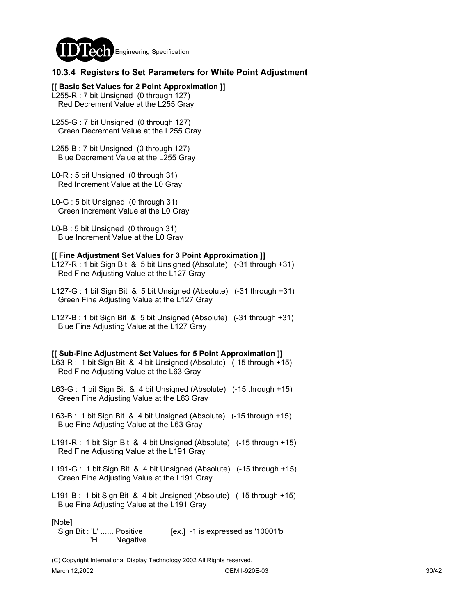

### **10.3.4 Registers to Set Parameters for White Point Adjustment**

**[[ Basic Set Values for 2 Point Approximation ]]** L255-R : 7 bit Unsigned (0 through 127) Red Decrement Value at the L255 Gray

L255-G : 7 bit Unsigned (0 through 127) Green Decrement Value at the L255 Gray

L255-B : 7 bit Unsigned (0 through 127) Blue Decrement Value at the L255 Gray

L0-R : 5 bit Unsigned (0 through 31) Red Increment Value at the L0 Gray

L0-G : 5 bit Unsigned (0 through 31) Green Increment Value at the L0 Gray

L0-B : 5 bit Unsigned (0 through 31) Blue Increment Value at the L0 Gray

#### **[[ Fine Adjustment Set Values for 3 Point Approximation ]]**

- L127-R : 1 bit Sign Bit & 5 bit Unsigned (Absolute) (-31 through +31) Red Fine Adjusting Value at the L127 Gray
- L127-G : 1 bit Sign Bit & 5 bit Unsigned (Absolute) (-31 through +31) Green Fine Adjusting Value at the L127 Gray
- L127-B : 1 bit Sign Bit & 5 bit Unsigned (Absolute) (-31 through +31) Blue Fine Adjusting Value at the L127 Gray

#### **[[ Sub-Fine Adjustment Set Values for 5 Point Approximation ]]**

- L63-R : 1 bit Sign Bit & 4 bit Unsigned (Absolute) (-15 through +15) Red Fine Adjusting Value at the L63 Gray
- L63-G : 1 bit Sign Bit & 4 bit Unsigned (Absolute) (-15 through +15) Green Fine Adjusting Value at the L63 Gray
- L63-B : 1 bit Sign Bit & 4 bit Unsigned (Absolute) (-15 through +15) Blue Fine Adjusting Value at the L63 Gray
- L191-R : 1 bit Sign Bit & 4 bit Unsigned (Absolute) (-15 through +15) Red Fine Adjusting Value at the L191 Gray
- L191-G : 1 bit Sign Bit & 4 bit Unsigned (Absolute) (-15 through +15) Green Fine Adjusting Value at the L191 Gray
- L191-B : 1 bit Sign Bit & 4 bit Unsigned (Absolute) (-15 through +15) Blue Fine Adjusting Value at the L191 Gray

[Note]

Sign Bit : 'L' ...... Positive [ex.] -1 is expressed as '10001'b 'H' ...... Negative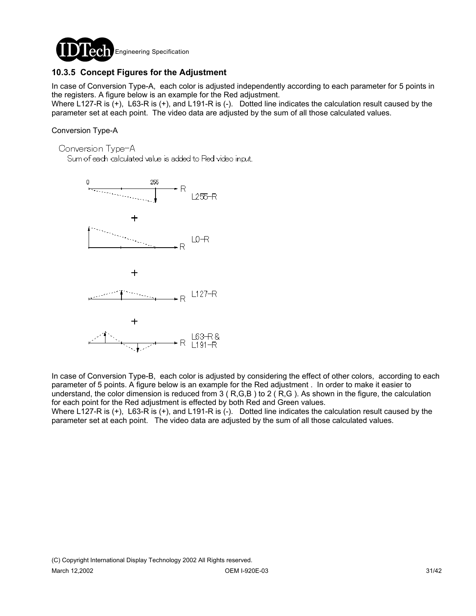

## **10.3.5 Concept Figures for the Adjustment**

In case of Conversion Type-A, each color is adjusted independently according to each parameter for 5 points in the registers. A figure below is an example for the Red adjustment.

Where L127-R is (+), L63-R is (+), and L191-R is (-). Dotted line indicates the calculation result caused by the parameter set at each point. The video data are adjusted by the sum of all those calculated values.

### Conversion Type-A

Conversion Type-A

Sum of each calculated value is added to Red video input.



In case of Conversion Type-B, each color is adjusted by considering the effect of other colors, according to each parameter of 5 points. A figure below is an example for the Red adjustment . In order to make it easier to understand, the color dimension is reduced from  $3$  ( $R,G,B$ ) to  $2$  ( $R,G$ ). As shown in the figure, the calculation for each point for the Red adjustment is effected by both Red and Green values.

Where L127-R is (+), L63-R is (+), and L191-R is (-). Dotted line indicates the calculation result caused by the parameter set at each point. The video data are adjusted by the sum of all those calculated values.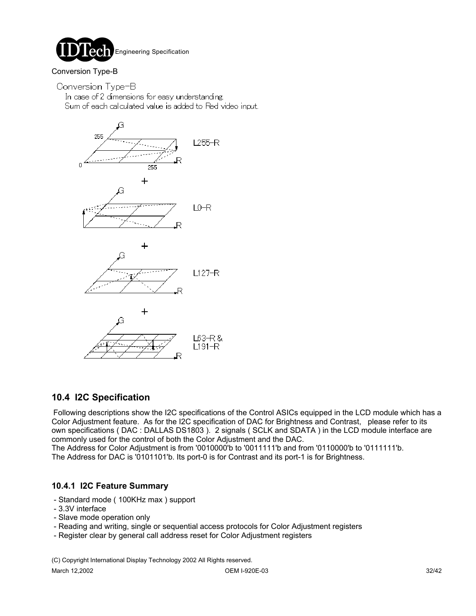

### Conversion Type-B

Conversion Type-B

In case of 2 dimensions for easy understanding. Sum of each calculated value is added to Red video input.



## **10.4 I2C Specification**

Following descriptions show the I2C specifications of the Control ASICs equipped in the LCD module which has a Color Adjustment feature. As for the I2C specification of DAC for Brightness and Contrast, please refer to its own specifications ( DAC : DALLAS DS1803 ). 2 signals ( SCLK and SDATA ) in the LCD module interface are commonly used for the control of both the Color Adjustment and the DAC.

The Address for Color Adjustment is from '0010000'b to '0011111'b and from '0110000'b to '0111111'b. The Address for DAC is '0101101'b. Its port-0 is for Contrast and its port-1 is for Brightness.

### **10.4.1 I2C Feature Summary**

- Standard mode ( 100KHz max ) support
- 3.3V interface
- Slave mode operation only
- Reading and writing, single or sequential access protocols for Color Adjustment registers
- Register clear by general call address reset for Color Adjustment registers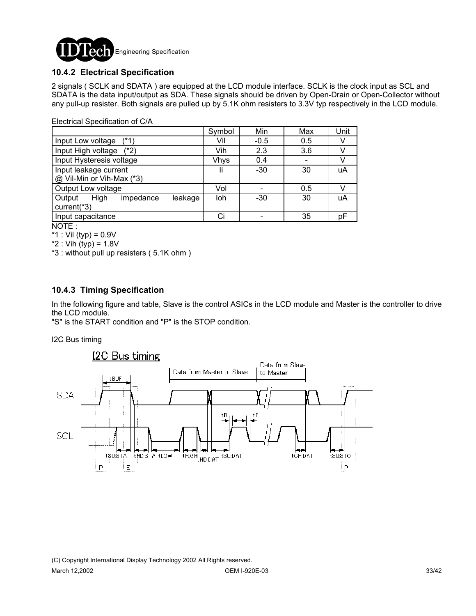

## **10.4.2 Electrical Specification**

2 signals ( SCLK and SDATA ) are equipped at the LCD module interface. SCLK is the clock input as SCL and SDATA is the data input/output as SDA. These signals should be driven by Open-Drain or Open-Collector without any pull-up resister. Both signals are pulled up by 5.1K ohm resisters to 3.3V typ respectively in the LCD module.

|                                        | Symbol      | Min    | Max | Unit |
|----------------------------------------|-------------|--------|-----|------|
| Input Low voltage<br>$(*1)$            | Vil         | $-0.5$ | 0.5 |      |
| Input High voltage (*2)                | Vih         | 2.3    | 3.6 |      |
| Input Hysteresis voltage               | <b>Vhys</b> | 0.4    |     |      |
| Input leakage current                  | Ii          | $-30$  | 30  | uA   |
| @ Vil-Min or Vih-Max (*3)              |             |        |     |      |
| Output Low voltage                     | Vol         |        | 0.5 |      |
| High<br>Output<br>impedance<br>leakage | loh         | $-30$  | 30  | uA   |
| current(*3)                            |             |        |     |      |
| Input capacitance                      |             |        | 35  | рF   |

NOTE :

\*1 : Vil (typ) =  $0.9V$ 

 $*2$  : Vih (typ) = 1.8V

\*3 : without pull up resisters ( 5.1K ohm )

### **10.4.3 Timing Specification**

In the following figure and table, Slave is the control ASICs in the LCD module and Master is the controller to drive the LCD module.

"S" is the START condition and "P" is the STOP condition.

I2C Bus timing



(C) Copyright International Display Technology 2002 All Rights reserved. March 12,2002 OEM I-920E-03 33/42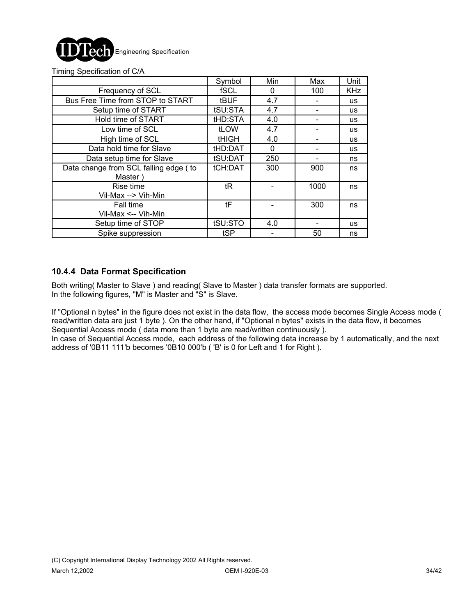

|  |  | Timing Specification of C/A |  |  |
|--|--|-----------------------------|--|--|
|--|--|-----------------------------|--|--|

|                                                  | Symbol       | Min | Max  | Unit       |
|--------------------------------------------------|--------------|-----|------|------------|
| Frequency of SCL                                 | fSCL         | 0   | 100  | <b>KHz</b> |
| Bus Free Time from STOP to START                 | <b>tBUF</b>  | 4.7 |      | <b>us</b>  |
| Setup time of START                              | tSU:STA      | 4.7 |      | <b>us</b>  |
| Hold time of START                               | tHD:STA      | 4.0 |      | <b>us</b>  |
| Low time of SCL                                  | <b>tLOW</b>  | 4.7 |      | <b>us</b>  |
| High time of SCL                                 | <b>tHIGH</b> | 4.0 |      | <b>US</b>  |
| Data hold time for Slave                         | tHD:DAT      | 0   |      | <b>us</b>  |
| Data setup time for Slave                        | tSU:DAT      | 250 |      | ns         |
| Data change from SCL falling edge (to<br>Master) | tCH:DAT      | 300 | 900  | ns         |
| Rise time<br>Vil-Max --> Vih-Min                 | tR           |     | 1000 | ns         |
| <b>Fall time</b><br>Vil-Max <-- Vih-Min          | tF           |     | 300  | ns         |
| Setup time of STOP                               | tSU:STO      | 4.0 |      | <b>us</b>  |
| Spike suppression                                | tSP          |     | 50   | ns         |

### **10.4.4 Data Format Specification**

Both writing( Master to Slave ) and reading( Slave to Master ) data transfer formats are supported. In the following figures, "M" is Master and "S" is Slave.

If "Optional n bytes" in the figure does not exist in the data flow, the access mode becomes Single Access mode ( read/written data are just 1 byte ). On the other hand, if "Optional n bytes" exists in the data flow, it becomes Sequential Access mode ( data more than 1 byte are read/written continuously ).

In case of Sequential Access mode, each address of the following data increase by 1 automatically, and the next address of '0B11 111'b becomes '0B10 000'b ( 'B' is 0 for Left and 1 for Right ).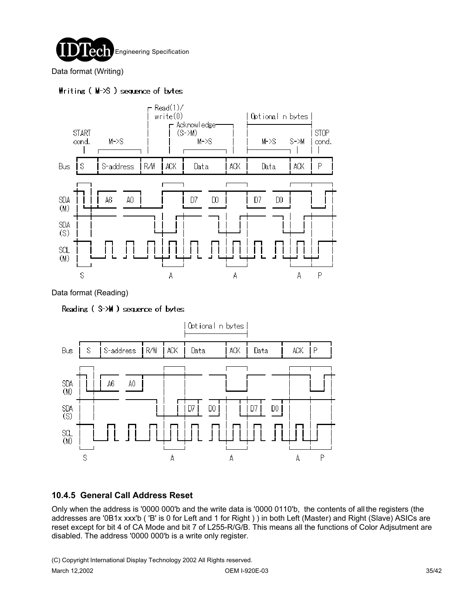

Data format (Writing)

### $Hriting (M-5) sequence of bytes$



Data format (Reading)

Reading (\$->M) sequence of bytes



## **10.4.5 General Call Address Reset**

Only when the address is '0000 000'b and the write data is '0000 0110'b, the contents of all the registers (the addresses are '0B1x xxx'b ( 'B' is 0 for Left and 1 for Right ) ) in both Left (Master) and Right (Slave) ASICs are reset except for bit 4 of CA Mode and bit 7 of L255-R/G/B. This means all the functions of Color Adjsutment are disabled. The address '0000 000'b is a write only register.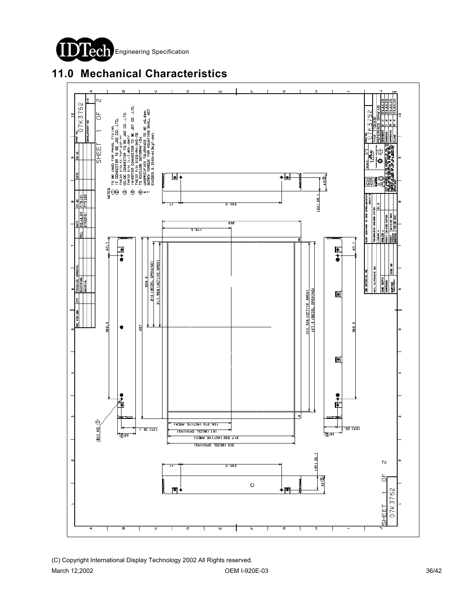



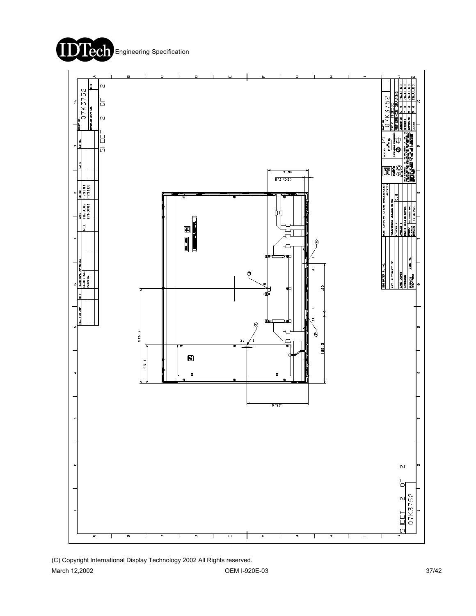

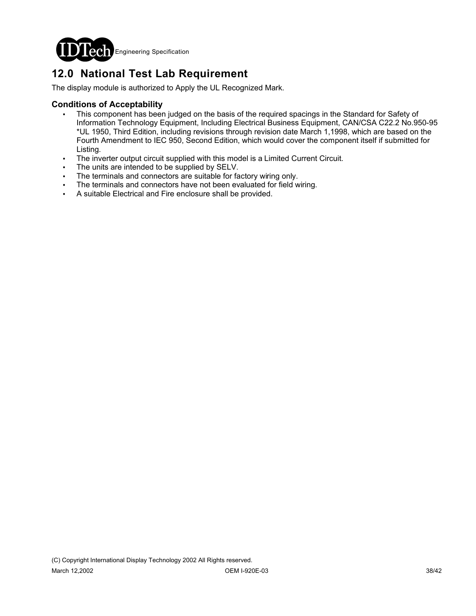

# **12.0 National Test Lab Requirement**

The display module is authorized to Apply the UL Recognized Mark.

### **Conditions of Acceptability**

- This component has been judged on the basis of the required spacings in the Standard for Safety of Information Technology Equipment, Including Electrical Business Equipment, CAN/CSA C22.2 No.950-95 \*UL 1950, Third Edition, including revisions through revision date March 1,1998, which are based on the Fourth Amendment to IEC 950, Second Edition, which would cover the component itself if submitted for Listing.
- The inverter output circuit supplied with this model is a Limited Current Circuit.
- The units are intended to be supplied by SELV.
- The terminals and connectors are suitable for factory wiring only.
- The terminals and connectors have not been evaluated for field wiring.
- ! A suitable Electrical and Fire enclosure shall be provided.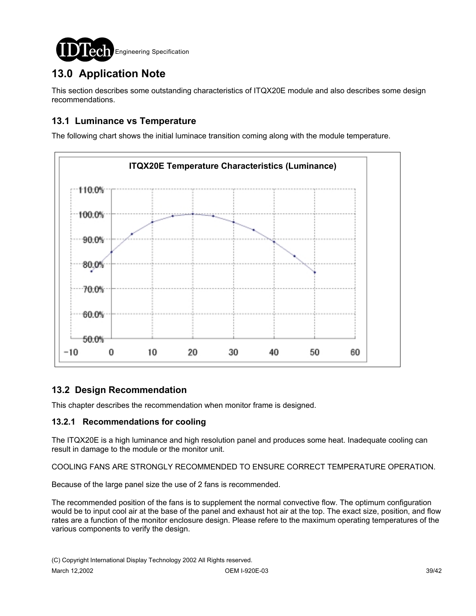

# **13.0 Application Note**

This section describes some outstanding characteristics of ITQX20E module and also describes some design recommendations.

## **13.1 Luminance vs Temperature**

The following chart shows the initial luminace transition coming along with the module temperature.



## **13.2 Design Recommendation**

This chapter describes the recommendation when monitor frame is designed.

### **13.2.1 Recommendations for cooling**

The ITQX20E is a high luminance and high resolution panel and produces some heat. Inadequate cooling can result in damage to the module or the monitor unit.

COOLING FANS ARE STRONGLY RECOMMENDED TO ENSURE CORRECT TEMPERATURE OPERATION.

Because of the large panel size the use of 2 fans is recommended.

The recommended position of the fans is to supplement the normal convective flow. The optimum configuration would be to input cool air at the base of the panel and exhaust hot air at the top. The exact size, position, and flow rates are a function of the monitor enclosure design. Please refere to the maximum operating temperatures of the various components to verify the design.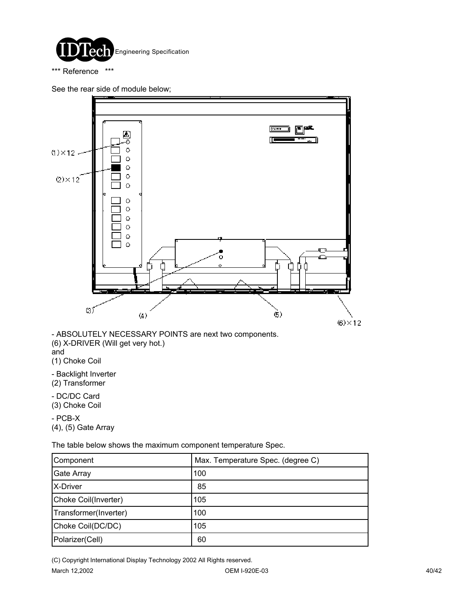

\*\*\* Reference \*\*\*

See the rear side of module below;



- ABSOLUTELY NECESSARY POINTS are next two components. (6) X-DRIVER (Will get very hot.) and

(1) Choke Coil

- Backlight Inverter (2) Transformer

- DC/DC Card (3) Choke Coil

- PCB-X (4), (5) Gate Array

The table below shows the maximum component temperature Spec.

| Component             | Max. Temperature Spec. (degree C) |
|-----------------------|-----------------------------------|
| <b>Gate Array</b>     | 100                               |
| X-Driver              | 85                                |
| Choke Coil(Inverter)  | 105                               |
| Transformer(Inverter) | 100                               |
| Choke Coil(DC/DC)     | 105                               |
| Polarizer(Cell)       | 60                                |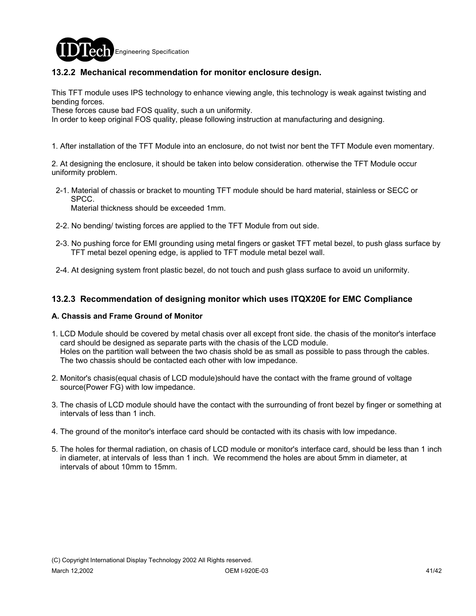

### **13.2.2 Mechanical recommendation for monitor enclosure design.**

This TFT module uses IPS technology to enhance viewing angle, this technology is weak against twisting and bending forces.

These forces cause bad FOS quality, such a un uniformity.

In order to keep original FOS quality, please following instruction at manufacturing and designing.

1. After installation of the TFT Module into an enclosure, do not twist nor bent the TFT Module even momentary.

2. At designing the enclosure, it should be taken into below consideration. otherwise the TFT Module occur uniformity problem.

 2-1. Material of chassis or bracket to mounting TFT module should be hard material, stainless or SECC or SPCC.

Material thickness should be exceeded 1mm.

- 2-2. No bending/ twisting forces are applied to the TFT Module from out side.
- 2-3. No pushing force for EMI grounding using metal fingers or gasket TFT metal bezel, to push glass surface by TFT metal bezel opening edge, is applied to TFT module metal bezel wall.
- 2-4. At designing system front plastic bezel, do not touch and push glass surface to avoid un uniformity.

### **13.2.3 Recommendation of designing monitor which uses ITQX20E for EMC Compliance**

#### **A. Chassis and Frame Ground of Monitor**

- 1. LCD Module should be covered by metal chasis over all except front side. the chasis of the monitor's interface card should be designed as separate parts with the chasis of the LCD module. Holes on the partition wall between the two chasis shold be as small as possible to pass through the cables. The two chassis should be contacted each other with low impedance.
- 2. Monitor's chasis(equal chasis of LCD module)should have the contact with the frame ground of voltage source(Power FG) with low impedance.
- 3. The chasis of LCD module should have the contact with the surrounding of front bezel by finger or something at intervals of less than 1 inch.
- 4. The ground of the monitor's interface card should be contacted with its chasis with low impedance.
- 5. The holes for thermal radiation, on chasis of LCD module or monitor's interface card, should be less than 1 inch in diameter, at intervals of less than 1 inch. We recommend the holes are about 5mm in diameter, at intervals of about 10mm to 15mm.